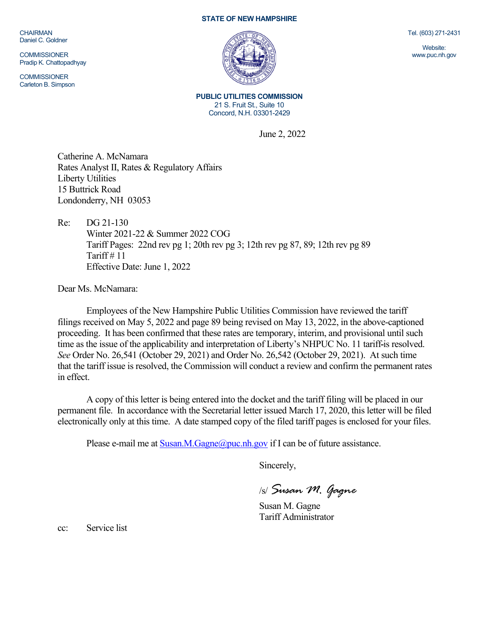CHAIRMAN Daniel C. Goldner

**COMMISSIONER** Pradip K. Chattopadhyay

**COMMISSIONER** Carleton B. Simpson

## **STATE OF NEW HAMPSHIRE**



**PUBLIC UTILITIES COMMISSION** 21 S. Fruit St., Suite 10 Concord, N.H. 03301-2429

June 2, 2022

Catherine A. McNamara Rates Analyst II, Rates & Regulatory Affairs Liberty Utilities 15 Buttrick Road Londonderry, NH 03053

Re: DG 21-130 Winter 2021-22 & Summer 2022 COG Tariff Pages: 22nd rev pg 1; 20th rev pg 3; 12th rev pg 87, 89; 12th rev pg 89 Tariff  $\#$  11 Effective Date: June 1, 2022

Dear Ms. McNamara:

Employees of the New Hampshire Public Utilities Commission have reviewed the tariff filings received on May 5, 2022 and page 89 being revised on May 13, 2022, in the above-captioned proceeding. It has been confirmed that these rates are temporary, interim, and provisional until such time as the issue of the applicability and interpretation of Liberty's NHPUC No. 11 tariff is resolved. *See* Order No. 26,541 (October 29, 2021) and Order No. 26,542 (October 29, 2021). At such time that the tariff issue is resolved, the Commission will conduct a review and confirm the permanent rates in effect.

A copy of this letter is being entered into the docket and the tariff filing will be placed in our permanent file. In accordance with the Secretarial letter issued March 17, 2020, this letter will be filed electronically only at this time. A date stamped copy of the filed tariff pages is enclosed for your files.

Please e-mail me at  $Susan.M.Gagne@puc.nb$ . And  $P$  if I can be of future assistance.

Sincerely,

/s/ *Susan M. Gagne*

Susan M. Gagne Tariff Administrator

cc: Service list

Tel. (603) 271-2431

Website: www.puc.nh.gov